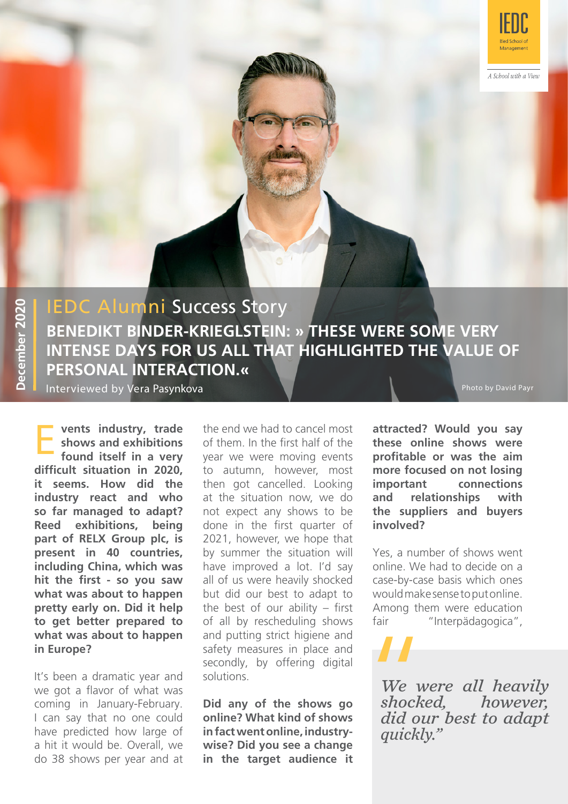

A School with a View

# IEDC Alumni Success Story **BENEDIKT BINDER-KRIEGLSTEIN: » THESE WERE SOME VERY INTENSE DAYS FOR US ALL THAT HIGHLIGHTED THE VALUE OF PERSONAL INTERACTION.«**

Interviewed by Vera Pasynkova

Photo by David Payr

**Exercise 15 vents industry, trade** the end we had to cancel most **shows and exhibitions** of them. In the first half of the **found itself in a very** year we were moving events **vents industry, trade shows and exhibitions found itself in a very difficult situation in 2020, it seems. How did the industry react and who so far managed to adapt? Reed exhibitions, being part of RELX Group plc, is present in 40 countries, including China, which was hit the first - so you saw what was about to happen pretty early on. Did it help to get better prepared to what was about to happen in Europe?**

It's been a dramatic year and we got a flavor of what was coming in January-February. I can say that no one could have predicted how large of a hit it would be. Overall, we do 38 shows per year and at of them. In the first half of the to autumn, however, most then got cancelled. Looking at the situation now, we do not expect any shows to be done in the first quarter of 2021, however, we hope that by summer the situation will have improved a lot. I'd say all of us were heavily shocked but did our best to adapt to the best of our ability – first of all by rescheduling shows and putting strict higiene and safety measures in place and secondly, by offering digital solutions.

**Did any of the shows go online? What kind of shows in fact went online, industrywise? Did you see a change in the target audience it**  **attracted? Would you say these online shows were profitable or was the aim more focused on not losing important connections and relationships with the suppliers and buyers involved?** 

Yes, a number of shows went online. We had to decide on a case-by-case basis which ones would make sense to put online. Among them were education fair "Interpädagogica",

*We were all heavily shocked, did our best to adapt*  We w<br>We w<br>shock<br>did ou<br>quickl *quickly."*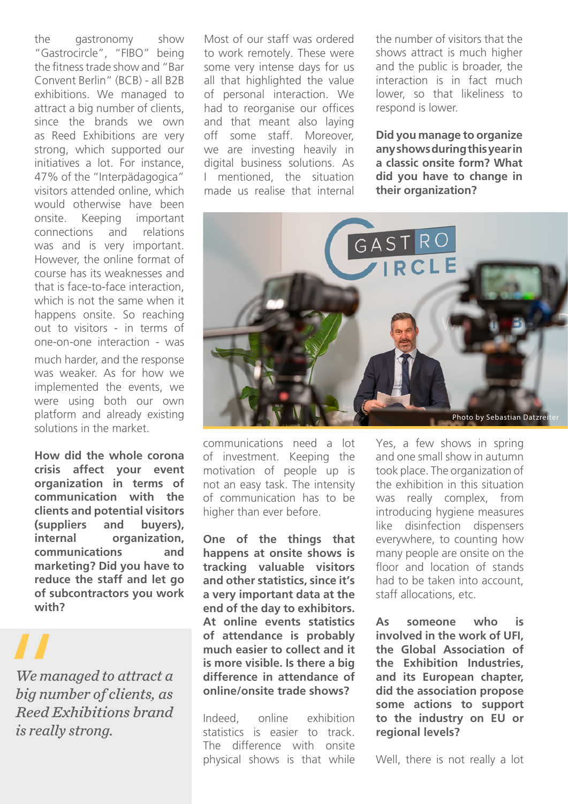the gastronomy show "Gastrocircle", "FIBO" being the fitness trade show and "Bar Convent Berlin" (BCB) - all B2B exhibitions. We managed to attract a big number of clients, since the brands we own as Reed Exhibitions are very strong, which supported our initiatives a lot. For instance, 47% of the "Interpädagogica" visitors attended online, which would otherwise have been onsite. Keeping important connections and relations was and is very important. However, the online format of course has its weaknesses and that is face-to-face interaction, which is not the same when it happens onsite. So reaching out to visitors - in terms of one-on-one interaction - was much harder, and the response was weaker. As for how we implemented the events, we were using both our own platform and already existing solutions in the market.

**How did the whole corona crisis affect your event organization in terms of communication with the clients and potential visitors (suppliers and buyers), internal organization, communications and marketing? Did you have to reduce the staff and let go of subcontractors you work with?** 

*We managed to attract a big number of clients, as Reed Exhibitions brand*  We man<br>
We man<br>
big nun<br>
Reed E.<br>
is really *is really strong.*

Most of our staff was ordered to work remotely. These were some very intense days for us all that highlighted the value of personal interaction. We had to reorganise our offices and that meant also laying off some staff. Moreover, we are investing heavily in digital business solutions. As I mentioned, the situation made us realise that internal

the number of visitors that the shows attract is much higher and the public is broader, the interaction is in fact much lower, so that likeliness to respond is lower.

**Did you manage to organize any shows during this year in a classic onsite form? What did you have to change in their organization?**



communications need a lot of investment. Keeping the motivation of people up is not an easy task. The intensity of communication has to be higher than ever before.

**One of the things that happens at onsite shows is tracking valuable visitors and other statistics, since it's a very important data at the end of the day to exhibitors. At online events statistics of attendance is probably much easier to collect and it is more visible. Is there a big difference in attendance of online/onsite trade shows?**

Indeed, online exhibition statistics is easier to track. The difference with onsite physical shows is that while Yes, a few shows in spring and one small show in autumn took place. The organization of the exhibition in this situation was really complex, from introducing hygiene measures like disinfection dispensers everywhere, to counting how many people are onsite on the floor and location of stands had to be taken into account, staff allocations, etc.

**As someone who is involved in the work of UFI, the Global Association of the Exhibition Industries, and its European chapter, did the association propose some actions to support to the industry on EU or regional levels?** 

Well, there is not really a lot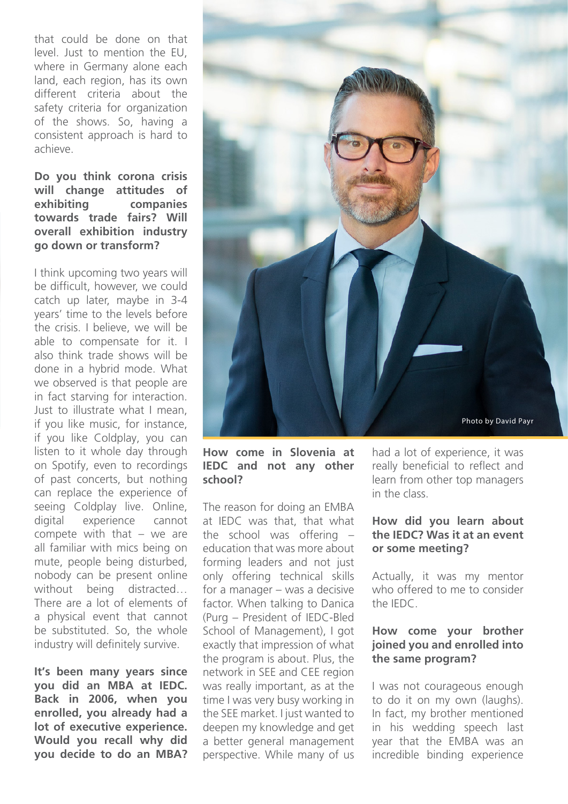that could be done on that level. Just to mention the EU, where in Germany alone each land, each region, has its own different criteria about the safety criteria for organization of the shows. So, having a consistent approach is hard to achieve.

#### **Do you think corona crisis will change attitudes of exhibiting companies towards trade fairs? Will overall exhibition industry go down or transform?**

I think upcoming two years will be difficult, however, we could catch up later, maybe in 3-4 years' time to the levels before the crisis. I believe, we will be able to compensate for it. I also think trade shows will be done in a hybrid mode. What we observed is that people are in fact starving for interaction. Just to illustrate what I mean, if you like music, for instance, if you like Coldplay, you can listen to it whole day through on Spotify, even to recordings of past concerts, but nothing can replace the experience of seeing Coldplay live. Online, digital experience cannot compete with that – we are all familiar with mics being on mute, people being disturbed, nobody can be present online without being distracted… There are a lot of elements of a physical event that cannot be substituted. So, the whole industry will definitely survive.

**It's been many years since you did an MBA at IEDC. Back in 2006, when you enrolled, you already had a lot of executive experience. Would you recall why did you decide to do an MBA?** 



#### **How come in Slovenia at IEDC and not any other school?**

The reason for doing an EMBA at IEDC was that, that what the school was offering – education that was more about forming leaders and not just only offering technical skills for a manager – was a decisive factor. When talking to Danica (Purg – President of IEDC-Bled School of Management), I got exactly that impression of what the program is about. Plus, the network in SEE and CEE region was really important, as at the time I was very busy working in the SEE market. I just wanted to deepen my knowledge and get a better general management perspective. While many of us had a lot of experience, it was really beneficial to reflect and learn from other top managers in the class.

### **How did you learn about the IEDC? Was it at an event or some meeting?**

Actually, it was my mentor who offered to me to consider the IEDC.

### **How come your brother joined you and enrolled into the same program?**

I was not courageous enough to do it on my own (laughs). In fact, my brother mentioned in his wedding speech last year that the EMBA was an incredible binding experience